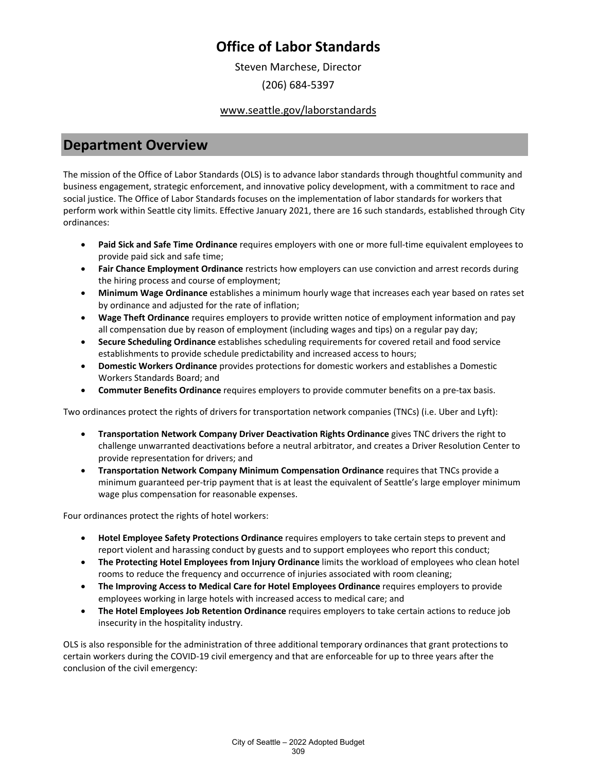Steven Marchese, Director

(206) 684-5397

### www.seattle.gov/laborstandards

### **Department Overview**

The mission of the Office of Labor Standards (OLS) is to advance labor standards through thoughtful community and business engagement, strategic enforcement, and innovative policy development, with a commitment to race and social justice. The Office of Labor Standards focuses on the implementation of labor standards for workers that perform work within Seattle city limits. Effective January 2021, there are 16 such standards, established through City ordinances:

- **Paid Sick and Safe Time Ordinance** requires employers with one or more full-time equivalent employees to provide paid sick and safe time;
- **Fair Chance Employment Ordinance** restricts how employers can use conviction and arrest records during the hiring process and course of employment;
- **Minimum Wage Ordinance** establishes a minimum hourly wage that increases each year based on rates set by ordinance and adjusted for the rate of inflation;
- **Wage Theft Ordinance** requires employers to provide written notice of employment information and pay all compensation due by reason of employment (including wages and tips) on a regular pay day;
- **Secure Scheduling Ordinance** establishes scheduling requirements for covered retail and food service establishments to provide schedule predictability and increased access to hours;
- **Domestic Workers Ordinance** provides protections for domestic workers and establishes a Domestic Workers Standards Board; and
- **Commuter Benefits Ordinance** requires employers to provide commuter benefits on a pre-tax basis.

Two ordinances protect the rights of drivers for transportation network companies (TNCs) (i.e. Uber and Lyft):

- **Transportation Network Company Driver Deactivation Rights Ordinance** gives TNC drivers the right to challenge unwarranted deactivations before a neutral arbitrator, and creates a Driver Resolution Center to provide representation for drivers; and
- **Transportation Network Company Minimum Compensation Ordinance** requires that TNCs provide a minimum guaranteed per-trip payment that is at least the equivalent of Seattle's large employer minimum wage plus compensation for reasonable expenses.

Four ordinances protect the rights of hotel workers:

- **Hotel Employee Safety Protections Ordinance** requires employers to take certain steps to prevent and report violent and harassing conduct by guests and to support employees who report this conduct;
- **The Protecting Hotel Employees from Injury Ordinance** limits the workload of employees who clean hotel rooms to reduce the frequency and occurrence of injuries associated with room cleaning;
- **The Improving Access to Medical Care for Hotel Employees Ordinance** requires employers to provide employees working in large hotels with increased access to medical care; and
- **The Hotel Employees Job Retention Ordinance** requires employers to take certain actions to reduce job insecurity in the hospitality industry.

OLS is also responsible for the administration of three additional temporary ordinances that grant protections to certain workers during the COVID-19 civil emergency and that are enforceable for up to three years after the conclusion of the civil emergency: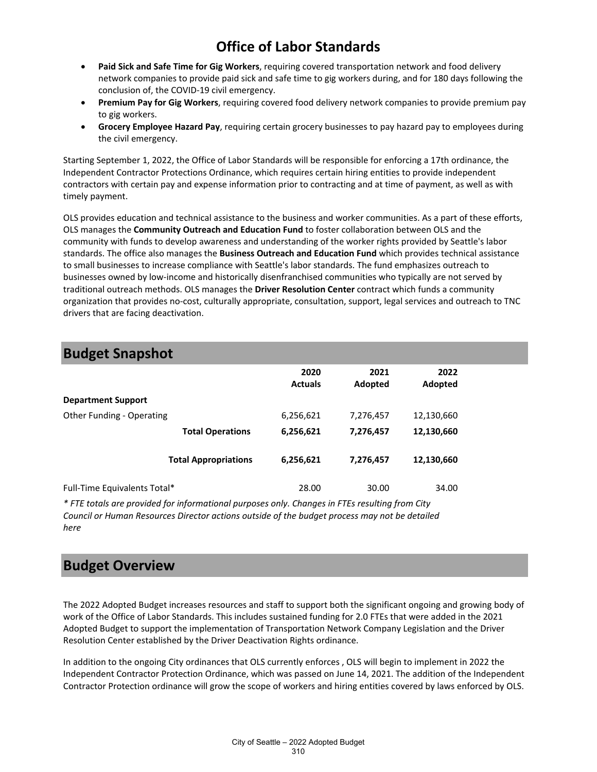- **Paid Sick and Safe Time for Gig Workers**, requiring covered transportation network and food delivery network companies to provide paid sick and safe time to gig workers during, and for 180 days following the conclusion of, the COVID-19 civil emergency.
- **Premium Pay for Gig Workers**, requiring covered food delivery network companies to provide premium pay to gig workers.
- **Grocery Employee Hazard Pay**, requiring certain grocery businesses to pay hazard pay to employees during the civil emergency.

Starting September 1, 2022, the Office of Labor Standards will be responsible for enforcing a 17th ordinance, the Independent Contractor Protections Ordinance, which requires certain hiring entities to provide independent contractors with certain pay and expense information prior to contracting and at time of payment, as well as with timely payment.

OLS provides education and technical assistance to the business and worker communities. As a part of these efforts, OLS manages the **Community Outreach and Education Fund** to foster collaboration between OLS and the community with funds to develop awareness and understanding of the worker rights provided by Seattle's labor standards. The office also manages the **Business Outreach and Education Fund** which provides technical assistance to small businesses to increase compliance with Seattle's labor standards. The fund emphasizes outreach to businesses owned by low-income and historically disenfranchised communities who typically are not served by traditional outreach methods. OLS manages the **Driver Resolution Center** contract which funds a community organization that provides no-cost, culturally appropriate, consultation, support, legal services and outreach to TNC drivers that are facing deactivation.

### **Budget Snapshot**

| . .                          |                             |                        |                 |                 |  |
|------------------------------|-----------------------------|------------------------|-----------------|-----------------|--|
|                              |                             | 2020<br><b>Actuals</b> | 2021<br>Adopted | 2022<br>Adopted |  |
| <b>Department Support</b>    |                             |                        |                 |                 |  |
| Other Funding - Operating    |                             | 6,256,621              | 7,276,457       | 12,130,660      |  |
|                              | <b>Total Operations</b>     | 6,256,621              | 7,276,457       | 12,130,660      |  |
|                              | <b>Total Appropriations</b> | 6,256,621              | 7,276,457       | 12,130,660      |  |
| Full-Time Equivalents Total* |                             | 28.00                  | 30.00           | 34.00           |  |

*\* FTE totals are provided for informational purposes only. Changes in FTEs resulting from City Council or Human Resources Director actions outside of the budget process may not be detailed here*

### **Budget Overview**

The 2022 Adopted Budget increases resources and staff to support both the significant ongoing and growing body of work of the Office of Labor Standards. This includes sustained funding for 2.0 FTEs that were added in the 2021 Adopted Budget to support the implementation of Transportation Network Company Legislation and the Driver Resolution Center established by the Driver Deactivation Rights ordinance.

In addition to the ongoing City ordinances that OLS currently enforces , OLS will begin to implement in 2022 the Independent Contractor Protection Ordinance, which was passed on June 14, 2021. The addition of the Independent Contractor Protection ordinance will grow the scope of workers and hiring entities covered by laws enforced by OLS.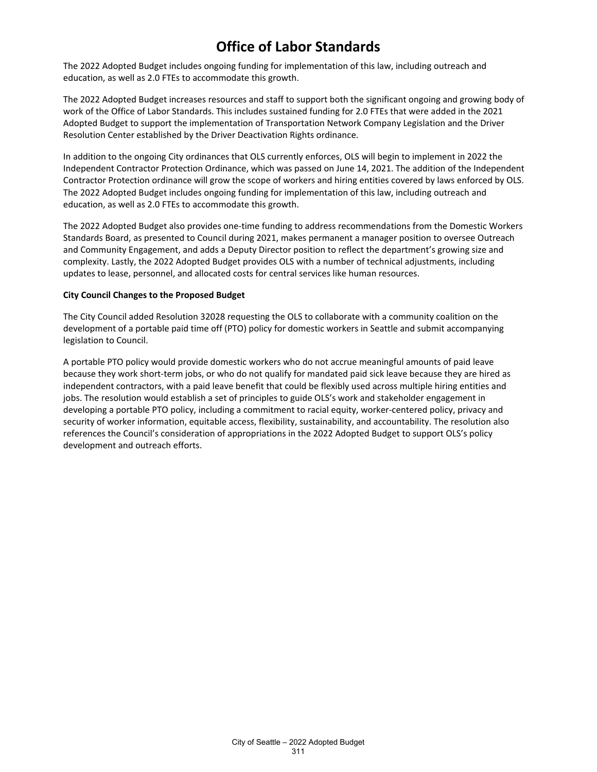The 2022 Adopted Budget includes ongoing funding for implementation of this law, including outreach and education, as well as 2.0 FTEs to accommodate this growth.

The 2022 Adopted Budget increases resources and staff to support both the significant ongoing and growing body of work of the Office of Labor Standards. This includes sustained funding for 2.0 FTEs that were added in the 2021 Adopted Budget to support the implementation of Transportation Network Company Legislation and the Driver Resolution Center established by the Driver Deactivation Rights ordinance.

In addition to the ongoing City ordinances that OLS currently enforces, OLS will begin to implement in 2022 the Independent Contractor Protection Ordinance, which was passed on June 14, 2021. The addition of the Independent Contractor Protection ordinance will grow the scope of workers and hiring entities covered by laws enforced by OLS. The 2022 Adopted Budget includes ongoing funding for implementation of this law, including outreach and education, as well as 2.0 FTEs to accommodate this growth.

The 2022 Adopted Budget also provides one-time funding to address recommendations from the Domestic Workers Standards Board, as presented to Council during 2021, makes permanent a manager position to oversee Outreach and Community Engagement, and adds a Deputy Director position to reflect the department's growing size and complexity. Lastly, the 2022 Adopted Budget provides OLS with a number of technical adjustments, including updates to lease, personnel, and allocated costs for central services like human resources.

#### **City Council Changes to the Proposed Budget**

The City Council added Resolution 32028 requesting the OLS to collaborate with a community coalition on the development of a portable paid time off (PTO) policy for domestic workers in Seattle and submit accompanying legislation to Council.

A portable PTO policy would provide domestic workers who do not accrue meaningful amounts of paid leave because they work short-term jobs, or who do not qualify for mandated paid sick leave because they are hired as independent contractors, with a paid leave benefit that could be flexibly used across multiple hiring entities and jobs. The resolution would establish a set of principles to guide OLS's work and stakeholder engagement in developing a portable PTO policy, including a commitment to racial equity, worker-centered policy, privacy and security of worker information, equitable access, flexibility, sustainability, and accountability. The resolution also references the Council's consideration of appropriations in the 2022 Adopted Budget to support OLS's policy development and outreach efforts.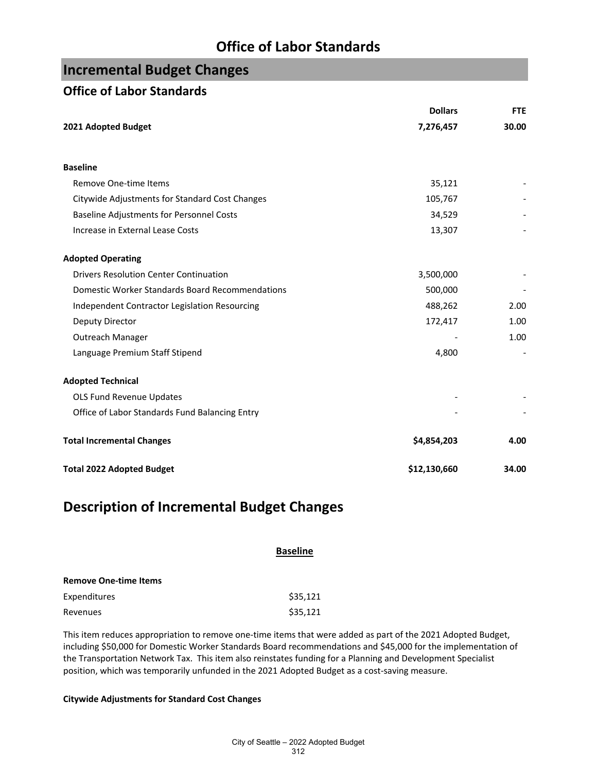## **Incremental Budget Changes**

### **Office of Labor Standards**

|                                                 | <b>Dollars</b> | <b>FTE</b> |
|-------------------------------------------------|----------------|------------|
| 2021 Adopted Budget                             | 7,276,457      | 30.00      |
|                                                 |                |            |
| <b>Baseline</b>                                 |                |            |
| Remove One-time Items                           | 35,121         |            |
| Citywide Adjustments for Standard Cost Changes  | 105,767        |            |
| <b>Baseline Adjustments for Personnel Costs</b> | 34,529         |            |
| Increase in External Lease Costs                | 13,307         |            |
| <b>Adopted Operating</b>                        |                |            |
| <b>Drivers Resolution Center Continuation</b>   | 3,500,000      |            |
| Domestic Worker Standards Board Recommendations | 500,000        |            |
| Independent Contractor Legislation Resourcing   | 488,262        | 2.00       |
| Deputy Director                                 | 172,417        | 1.00       |
| Outreach Manager                                |                | 1.00       |
| Language Premium Staff Stipend                  | 4,800          |            |
| <b>Adopted Technical</b>                        |                |            |
| OLS Fund Revenue Updates                        |                |            |
| Office of Labor Standards Fund Balancing Entry  |                |            |
| <b>Total Incremental Changes</b>                | \$4,854,203    | 4.00       |
| <b>Total 2022 Adopted Budget</b>                | \$12,130,660   | 34.00      |

### **Description of Incremental Budget Changes**

|                              | <b>Baseline</b> |
|------------------------------|-----------------|
| <b>Remove One-time Items</b> |                 |
| Expenditures                 | \$35,121        |
| Revenues                     | \$35,121        |

This item reduces appropriation to remove one-time items that were added as part of the 2021 Adopted Budget, including \$50,000 for Domestic Worker Standards Board recommendations and \$45,000 for the implementation of the Transportation Network Tax. This item also reinstates funding for a Planning and Development Specialist position, which was temporarily unfunded in the 2021 Adopted Budget as a cost-saving measure.

### **Citywide Adjustments for Standard Cost Changes**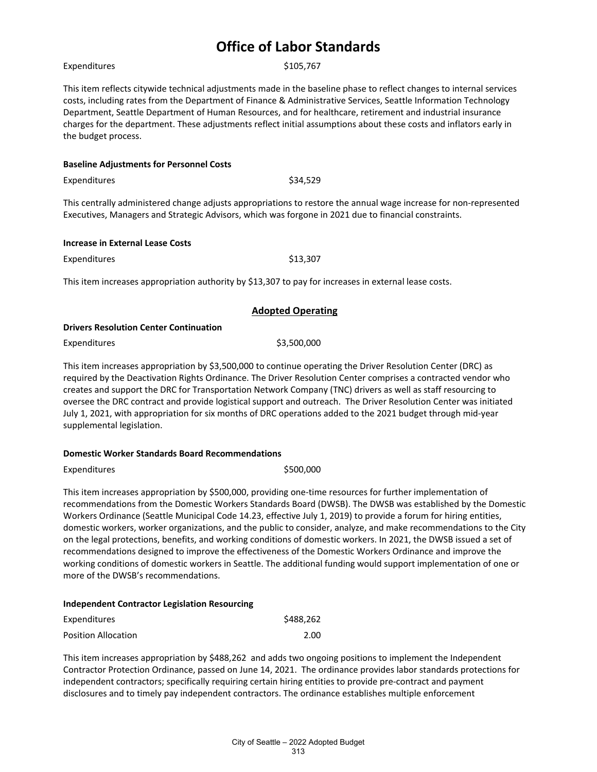|  | Expenditures |
|--|--------------|

**Baseline Adjustments for Personnel Costs**

\$105,767

This item reflects citywide technical adjustments made in the baseline phase to reflect changes to internal services costs, including rates from the Department of Finance & Administrative Services, Seattle Information Technology Department, Seattle Department of Human Resources, and for healthcare, retirement and industrial insurance charges for the department. These adjustments reflect initial assumptions about these costs and inflators early in the budget process.

| Expenditures                                                                                          | \$34.529                                                                                                          |
|-------------------------------------------------------------------------------------------------------|-------------------------------------------------------------------------------------------------------------------|
| Executives, Managers and Strategic Advisors, which was forgone in 2021 due to financial constraints.  | This centrally administered change adjusts appropriations to restore the annual wage increase for non-represented |
| <b>Increase in External Lease Costs</b>                                                               |                                                                                                                   |
| Expenditures                                                                                          | \$13,307                                                                                                          |
| This item increases appropriation authority by \$13,307 to pay for increases in external lease costs. |                                                                                                                   |
|                                                                                                       | <b>Adopted Operating</b>                                                                                          |
| <b>Drivers Resolution Center Continuation</b>                                                         |                                                                                                                   |
| Expenditures                                                                                          | \$3,500,000                                                                                                       |
|                                                                                                       | This item increases annropriation by \$3,500,000 to continue operating the Driver Resolution Center (DRC) as      |

This item increases appropriation by \$3,500,000 to continue operating the Driver Resolution Center (DRC) as required by the Deactivation Rights Ordinance. The Driver Resolution Center comprises a contracted vendor who creates and support the DRC for Transportation Network Company (TNC) drivers as well as staff resourcing to oversee the DRC contract and provide logistical support and outreach. The Driver Resolution Center was initiated July 1, 2021, with appropriation for six months of DRC operations added to the 2021 budget through mid-year supplemental legislation.

#### **Domestic Worker Standards Board Recommendations**

Expenditures \$500,000

This item increases appropriation by \$500,000, providing one-time resources for further implementation of recommendations from the Domestic Workers Standards Board (DWSB). The DWSB was established by the Domestic Workers Ordinance (Seattle Municipal Code 14.23, effective July 1, 2019) to provide a forum for hiring entities, domestic workers, worker organizations, and the public to consider, analyze, and make recommendations to the City on the legal protections, benefits, and working conditions of domestic workers. In 2021, the DWSB issued a set of recommendations designed to improve the effectiveness of the Domestic Workers Ordinance and improve the working conditions of domestic workers in Seattle. The additional funding would support implementation of one or more of the DWSB's recommendations.

#### **Independent Contractor Legislation Resourcing**

| Expenditures               | \$488,262 |
|----------------------------|-----------|
| <b>Position Allocation</b> | 2.00      |

This item increases appropriation by \$488,262 and adds two ongoing positions to implement the Independent Contractor Protection Ordinance, passed on June 14, 2021. The ordinance provides labor standards protections for independent contractors; specifically requiring certain hiring entities to provide pre-contract and payment disclosures and to timely pay independent contractors. The ordinance establishes multiple enforcement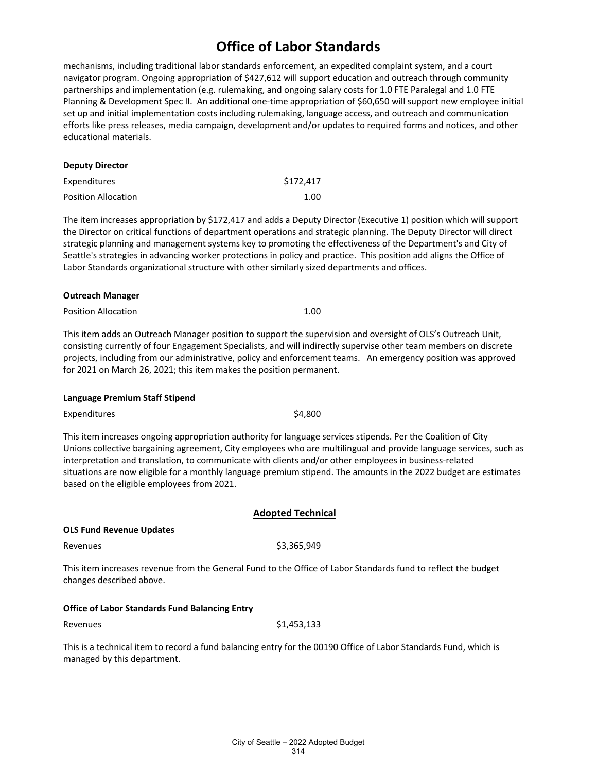mechanisms, including traditional labor standards enforcement, an expedited complaint system, and a court navigator program. Ongoing appropriation of \$427,612 will support education and outreach through community partnerships and implementation (e.g. rulemaking, and ongoing salary costs for 1.0 FTE Paralegal and 1.0 FTE Planning & Development Spec II. An additional one-time appropriation of \$60,650 will support new employee initial set up and initial implementation costs including rulemaking, language access, and outreach and communication efforts like press releases, media campaign, development and/or updates to required forms and notices, and other educational materials.

| <b>Deputy Director</b>     |           |
|----------------------------|-----------|
| Expenditures               | \$172,417 |
| <b>Position Allocation</b> | 1.00      |

The item increases appropriation by \$172,417 and adds a Deputy Director (Executive 1) position which will support the Director on critical functions of department operations and strategic planning. The Deputy Director will direct strategic planning and management systems key to promoting the effectiveness of the Department's and City of Seattle's strategies in advancing worker protections in policy and practice. This position add aligns the Office of Labor Standards organizational structure with other similarly sized departments and offices.

#### **Outreach Manager**

Position Allocation **1.00** 

This item adds an Outreach Manager position to support the supervision and oversight of OLS's Outreach Unit, consisting currently of four Engagement Specialists, and will indirectly supervise other team members on discrete projects, including from our administrative, policy and enforcement teams. An emergency position was approved for 2021 on March 26, 2021; this item makes the position permanent.

#### **Language Premium Staff Stipend**

Expenditures \$4,800

This item increases ongoing appropriation authority for language services stipends. Per the Coalition of City Unions collective bargaining agreement, City employees who are multilingual and provide language services, such as interpretation and translation, to communicate with clients and/or other employees in business-related situations are now eligible for a monthly language premium stipend. The amounts in the 2022 budget are estimates based on the eligible employees from 2021.

### **Adopted Technical**

**OLS Fund Revenue Updates**

Revenues \$3,365,949

This item increases revenue from the General Fund to the Office of Labor Standards fund to reflect the budget changes described above.

### **Office of Labor Standards Fund Balancing Entry**

Revenues \$1,453,133

This is a technical item to record a fund balancing entry for the 00190 Office of Labor Standards Fund, which is managed by this department.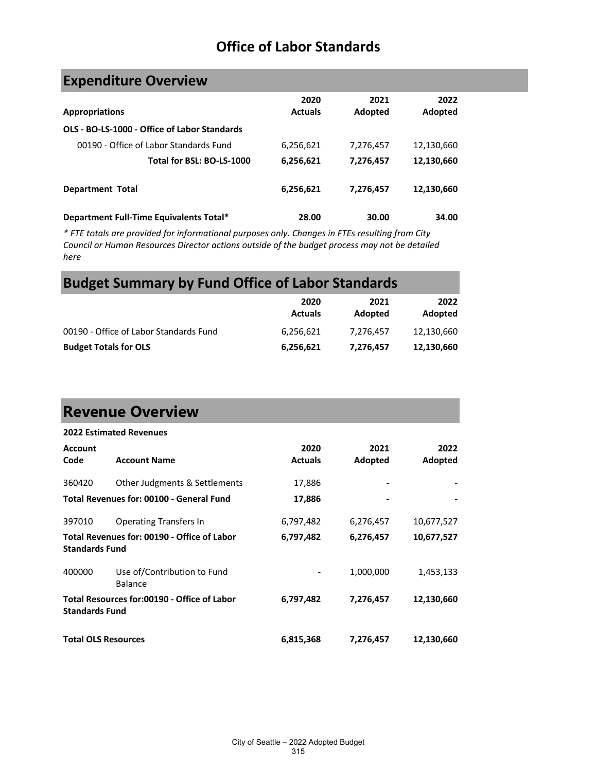| <b>Expenditure Overview</b> |  |  |  |  |
|-----------------------------|--|--|--|--|
|-----------------------------|--|--|--|--|

| <b>Appropriations</b>                        | 2020<br><b>Actuals</b> | 2021<br>Adopted | 2022<br>Adopted |
|----------------------------------------------|------------------------|-----------------|-----------------|
| OLS - BO-LS-1000 - Office of Labor Standards |                        |                 |                 |
| 00190 - Office of Labor Standards Fund       | 6,256,621              | 7,276,457       | 12,130,660      |
| Total for BSL: BO-LS-1000                    | 6,256,621              | 7,276,457       | 12,130,660      |
| <b>Department Total</b>                      | 6,256,621              | 7,276,457       | 12,130,660      |
| Department Full-Time Equivalents Total*      | 28.00                  | 30.00           | 34.00           |

*\* FTE totals are provided for informational purposes only. Changes in FTEs resulting from City Council or Human Resources Director actions outside of the budget process may not be detailed here*

# **Budget Summary by Fund Office of Labor Standards**

|                                        | 2020<br><b>Actuals</b> | 2021<br>Adopted | 2022<br>Adopted |
|----------------------------------------|------------------------|-----------------|-----------------|
| 00190 - Office of Labor Standards Fund | 6,256,621              | 7.276.457       | 12,130,660      |
| <b>Budget Totals for OLS</b>           | 6,256,621              | 7,276,457       | 12,130,660      |

# **Revenue Overview**

|                            | <b>2022 Estimated Revenues</b>                |                |           |            |
|----------------------------|-----------------------------------------------|----------------|-----------|------------|
| <b>Account</b>             |                                               | 2020           | 2021      | 2022       |
| Code                       | <b>Account Name</b>                           | <b>Actuals</b> | Adopted   | Adopted    |
| 360420                     | Other Judgments & Settlements                 | 17,886         |           |            |
|                            | Total Revenues for: 00100 - General Fund      | 17,886         |           |            |
| 397010                     | <b>Operating Transfers In</b>                 | 6,797,482      | 6,276,457 | 10,677,527 |
| <b>Standards Fund</b>      | Total Revenues for: 00190 - Office of Labor   | 6,797,482      | 6,276,457 | 10,677,527 |
| 400000                     | Use of/Contribution to Fund<br><b>Balance</b> | -              | 1,000,000 | 1,453,133  |
| <b>Standards Fund</b>      | Total Resources for:00190 - Office of Labor   | 6,797,482      | 7,276,457 | 12,130,660 |
| <b>Total OLS Resources</b> |                                               | 6,815,368      | 7,276,457 | 12,130,660 |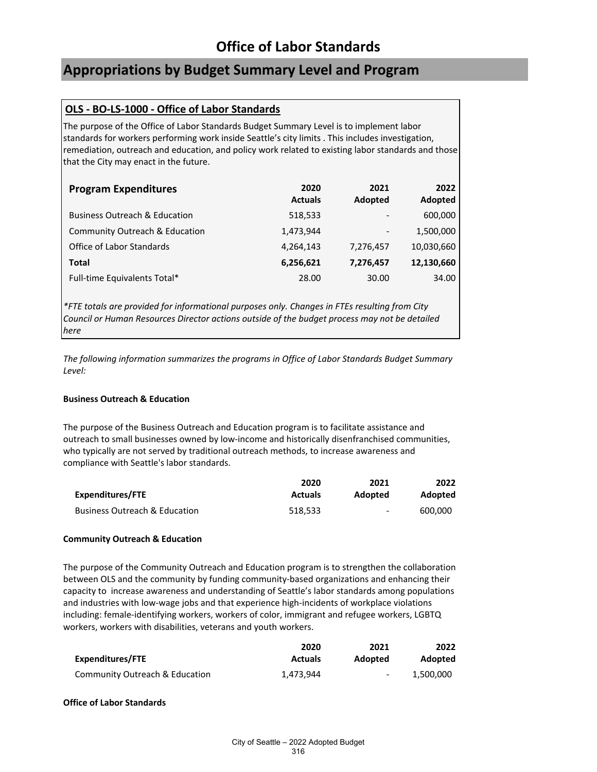## **Appropriations by Budget Summary Level and Program**

### **OLS - BO-LS-1000 - Office of Labor Standards**

The purpose of the Office of Labor Standards Budget Summary Level is to implement labor standards for workers performing work inside Seattle's city limits . This includes investigation, remediation, outreach and education, and policy work related to existing labor standards and those that the City may enact in the future.

| <b>Program Expenditures</b>              | 2020<br><b>Actuals</b> | 2021<br><b>Adopted</b>   | 2022<br>Adopted |
|------------------------------------------|------------------------|--------------------------|-----------------|
| <b>Business Outreach &amp; Education</b> | 518,533                | $\qquad \qquad$          | 600,000         |
| Community Outreach & Education           | 1,473,944              | $\overline{\phantom{a}}$ | 1,500,000       |
| Office of Labor Standards                | 4,264,143              | 7,276,457                | 10,030,660      |
| <b>Total</b>                             | 6,256,621              | 7,276,457                | 12,130,660      |
| Full-time Equivalents Total*             | 28.00                  | 30.00                    | 34.00           |

*\*FTE totals are provided for informational purposes only. Changes in FTEs resulting from City Council or Human Resources Director actions outside of the budget process may not be detailed here*

*The following information summarizes the programs in Office of Labor Standards Budget Summary Level:*

### **Business Outreach & Education**

The purpose of the Business Outreach and Education program is to facilitate assistance and outreach to small businesses owned by low-income and historically disenfranchised communities, who typically are not served by traditional outreach methods, to increase awareness and compliance with Seattle's labor standards.

|                               | 2020           | 2021    | 2022           |
|-------------------------------|----------------|---------|----------------|
| Expenditures/FTE              | <b>Actuals</b> | Adopted | <b>Adopted</b> |
| Business Outreach & Education | 518.533        | $\sim$  | 600.000        |

### **Community Outreach & Education**

The purpose of the Community Outreach and Education program is to strengthen the collaboration between OLS and the community by funding community-based organizations and enhancing their capacity to increase awareness and understanding of Seattle's labor standards among populations and industries with low-wage jobs and that experience high-incidents of workplace violations including: female-identifying workers, workers of color, immigrant and refugee workers, LGBTQ workers, workers with disabilities, veterans and youth workers.

|                                | 2020           | 2021    | 2022      |
|--------------------------------|----------------|---------|-----------|
| Expenditures/FTE               | <b>Actuals</b> | Adopted | Adopted   |
| Community Outreach & Education | 1.473.944      | $\sim$  | 1.500.000 |

### **Office of Labor Standards**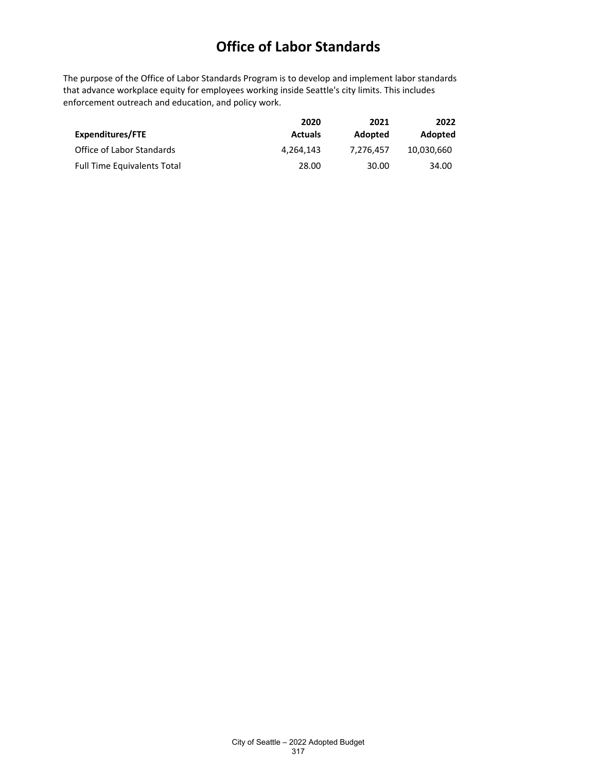The purpose of the Office of Labor Standards Program is to develop and implement labor standards that advance workplace equity for employees working inside Seattle's city limits. This includes enforcement outreach and education, and policy work.

|                                    | 2020           | 2021      | 2022       |
|------------------------------------|----------------|-----------|------------|
| Expenditures/FTE                   | <b>Actuals</b> | Adopted   | Adopted    |
| Office of Labor Standards          | 4.264.143      | 7.276.457 | 10.030.660 |
| <b>Full Time Equivalents Total</b> | 28.00          | 30.00     | 34.00      |